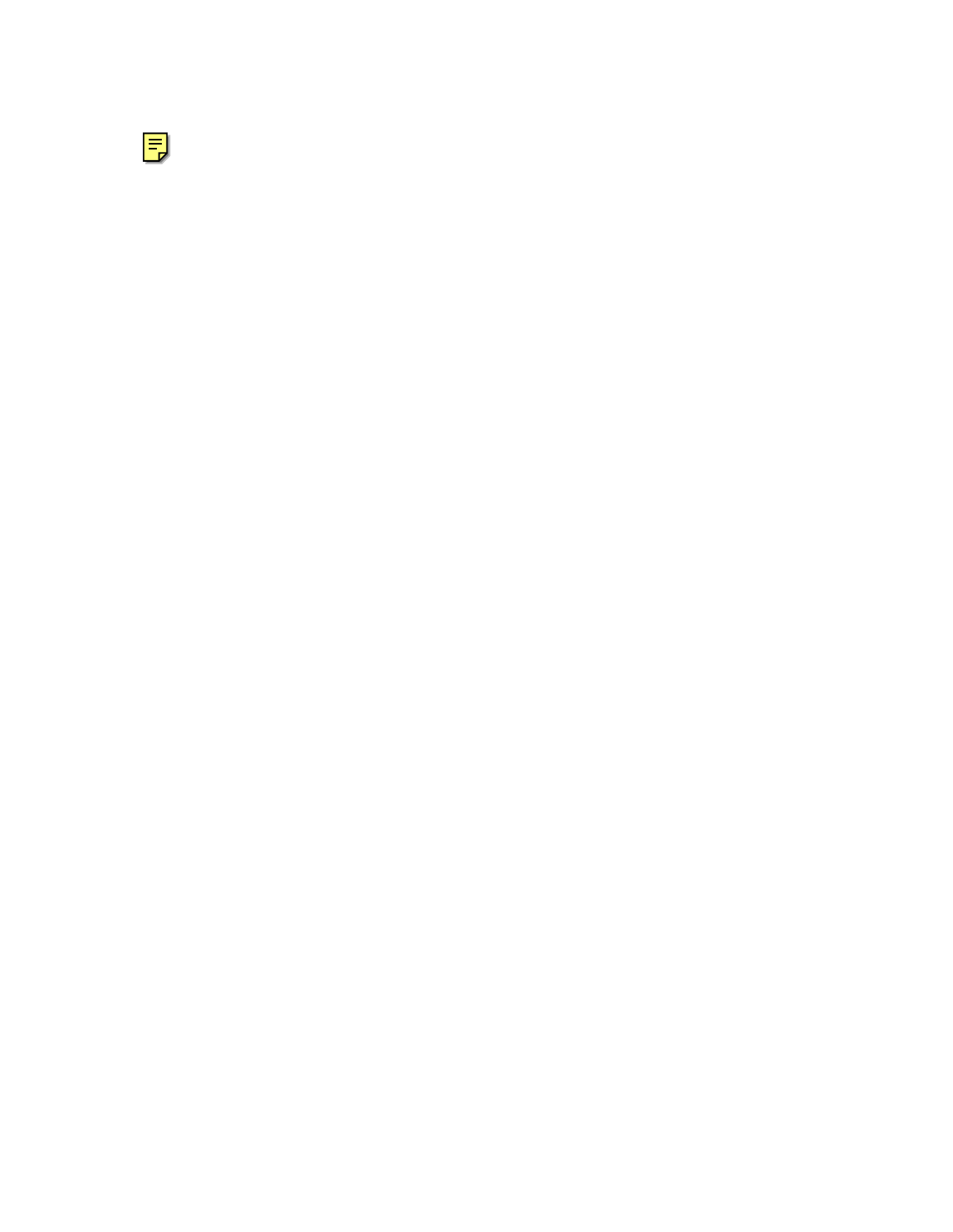